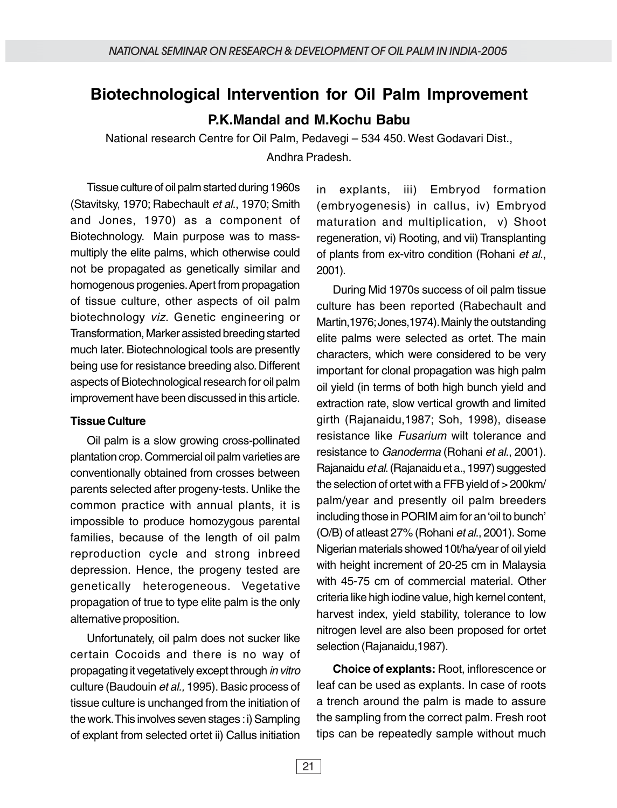# **Biotechnological Intervention for Oil Palm Improvement**

**P.K.Mandal and M.Kochu Babu**

National research Centre for Oil Palm, Pedavegi – 534 450. West Godavari Dist., Andhra Pradesh.

Tissue culture of oil palm started during 1960s (Stavitsky, 1970; Rabechault et al., 1970; Smith and Jones, 1970) as a component of Biotechnology. Main purpose was to massmultiply the elite palms, which otherwise could not be propagated as genetically similar and homogenous progenies. Apert from propagation of tissue culture, other aspects of oil palm biotechnology viz. Genetic engineering or Transformation, Marker assisted breeding started much later. Biotechnological tools are presently being use for resistance breeding also. Different aspects of Biotechnological research for oil palm improvement have been discussed in this article.

#### **Tissue Culture**

Oil palm is a slow growing cross-pollinated plantation crop. Commercial oil palm varieties are conventionally obtained from crosses between parents selected after progeny-tests. Unlike the common practice with annual plants, it is impossible to produce homozygous parental families, because of the length of oil palm reproduction cycle and strong inbreed depression. Hence, the progeny tested are genetically heterogeneous. Vegetative propagation of true to type elite palm is the only alternative proposition.

Unfortunately, oil palm does not sucker like certain Cocoids and there is no way of propagating it vegetatively except through in vitro culture (Baudouin et al., 1995). Basic process of tissue culture is unchanged from the initiation of the work. This involves seven stages : i) Sampling of explant from selected ortet ii) Callus initiation

in explants, iii) Embryod formation (embryogenesis) in callus, iv) Embryod maturation and multiplication, v) Shoot regeneration, vi) Rooting, and vii) Transplanting of plants from ex-vitro condition (Rohani et al., 2001).

During Mid 1970s success of oil palm tissue culture has been reported (Rabechault and Martin,1976; Jones,1974). Mainly the outstanding elite palms were selected as ortet. The main characters, which were considered to be very important for clonal propagation was high palm oil yield (in terms of both high bunch yield and extraction rate, slow vertical growth and limited girth (Rajanaidu,1987; Soh, 1998), disease resistance like *Fusarium* wilt tolerance and resistance to Ganoderma (Rohani et al., 2001). Rajanaidu et al. (Rajanaidu et a., 1997) suggested the selection of ortet with a FFB yield of > 200km/ palm/year and presently oil palm breeders including those in PORIM aim for an 'oil to bunch' (O/B) of atleast 27% (Rohani et al., 2001). Some Nigerian materials showed 10t/ha/year of oil yield with height increment of 20-25 cm in Malaysia with 45-75 cm of commercial material. Other criteria like high iodine value, high kernel content, harvest index, yield stability, tolerance to low nitrogen level are also been proposed for ortet selection (Rajanaidu,1987).

**Choice of explants:** Root, inflorescence or leaf can be used as explants. In case of roots a trench around the palm is made to assure the sampling from the correct palm. Fresh root tips can be repeatedly sample without much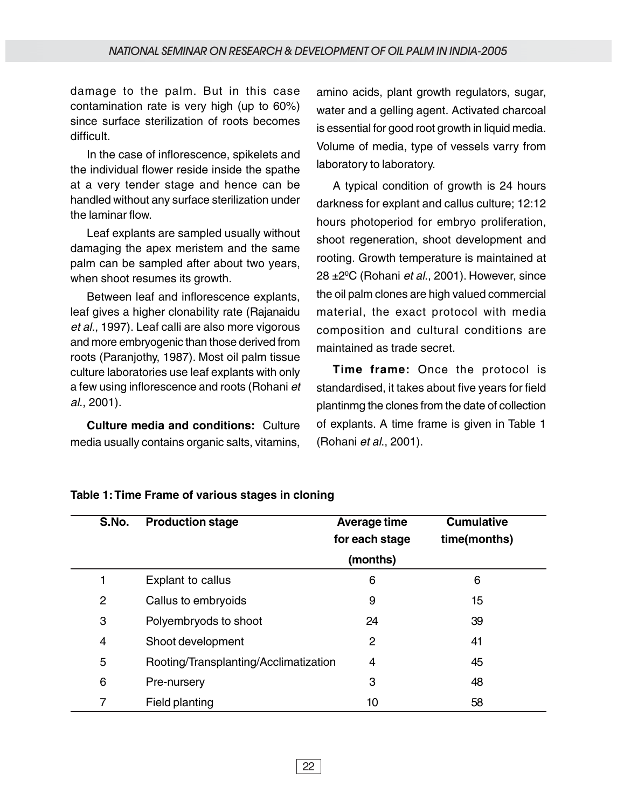damage to the palm. But in this case contamination rate is very high (up to 60%) since surface sterilization of roots becomes difficult.

In the case of inflorescence, spikelets and the individual flower reside inside the spathe at a very tender stage and hence can be handled without any surface sterilization under the laminar flow.

Leaf explants are sampled usually without damaging the apex meristem and the same palm can be sampled after about two years, when shoot resumes its growth.

Between leaf and inflorescence explants, leaf gives a higher clonability rate (Rajanaidu et al., 1997). Leaf calli are also more vigorous and more embryogenic than those derived from roots (Paranjothy, 1987). Most oil palm tissue culture laboratories use leaf explants with only a few using inflorescence and roots (Rohani et al., 2001).

**Culture media and conditions:** Culture media usually contains organic salts, vitamins, amino acids, plant growth regulators, sugar, water and a gelling agent. Activated charcoal is essential for good root growth in liquid media. Volume of media, type of vessels varry from laboratory to laboratory.

A typical condition of growth is 24 hours darkness for explant and callus culture; 12:12 hours photoperiod for embryo proliferation, shoot regeneration, shoot development and rooting. Growth temperature is maintained at 28 ±2ºC (Rohani *et al*., 2001). However, since the oil palm clones are high valued commercial material, the exact protocol with media composition and cultural conditions are maintained as trade secret.

**Time frame:** Once the protocol is standardised, it takes about five years for field plantinmg the clones from the date of collection of explants. A time frame is given in Table 1 (Rohani et al., 2001).

| S.No. | <b>Production stage</b>               | <b>Average time</b> | <b>Cumulative</b> |
|-------|---------------------------------------|---------------------|-------------------|
|       |                                       | for each stage      | time(months)      |
|       |                                       | (months)            |                   |
|       | Explant to callus                     | 6                   | 6                 |
| 2     | Callus to embryoids                   | 9                   | 15                |
| 3     | Polyembryods to shoot                 | 24                  | 39                |
| 4     | Shoot development                     | 2                   | 41                |
| 5     | Rooting/Transplanting/Acclimatization | 4                   | 45                |
| 6     | Pre-nursery                           | 3                   | 48                |
| 7     | Field planting                        | 10                  | 58                |

#### **Table 1: Time Frame of various stages in cloning**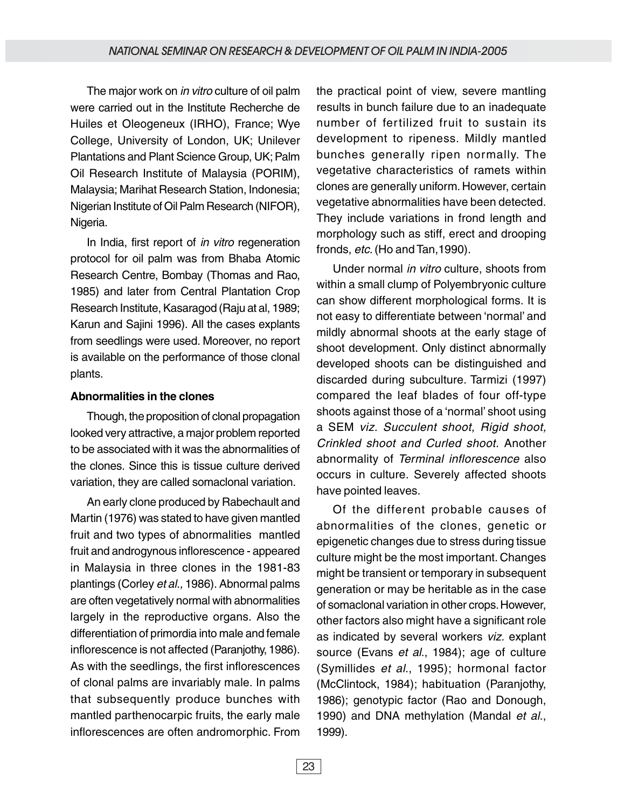The major work on *in vitro* culture of oil palm were carried out in the Institute Recherche de Huiles et Oleogeneux (IRHO), France; Wye College, University of London, UK; Unilever Plantations and Plant Science Group, UK; Palm Oil Research Institute of Malaysia (PORIM), Malaysia; Marihat Research Station, Indonesia; Nigerian Institute of Oil Palm Research (NIFOR), Nigeria.

In India, first report of *in vitro* regeneration protocol for oil palm was from Bhaba Atomic Research Centre, Bombay (Thomas and Rao, 1985) and later from Central Plantation Crop Research Institute, Kasaragod (Raju at al, 1989; Karun and Sajini 1996). All the cases explants from seedlings were used. Moreover, no report is available on the performance of those clonal plants.

#### **Abnormalities in the clones**

Though, the proposition of clonal propagation looked very attractive, a major problem reported to be associated with it was the abnormalities of the clones. Since this is tissue culture derived variation, they are called somaclonal variation.

An early clone produced by Rabechault and Martin (1976) was stated to have given mantled fruit and two types of abnormalities mantled fruit and androgynous inflorescence - appeared in Malaysia in three clones in the 1981-83 plantings (Corley et al., 1986). Abnormal palms are often vegetatively normal with abnormalities largely in the reproductive organs. Also the differentiation of primordia into male and female inflorescence is not affected (Paranjothy, 1986). As with the seedlings, the first inflorescences of clonal palms are invariably male. In palms that subsequently produce bunches with mantled parthenocarpic fruits, the early male inflorescences are often andromorphic. From the practical point of view, severe mantling results in bunch failure due to an inadequate number of fertilized fruit to sustain its development to ripeness. Mildly mantled bunches generally ripen normally. The vegetative characteristics of ramets within clones are generally uniform. However, certain vegetative abnormalities have been detected. They include variations in frond length and morphology such as stiff, erect and drooping fronds, etc. (Ho and Tan, 1990).

Under normal in vitro culture, shoots from within a small clump of Polyembryonic culture can show different morphological forms. It is not easy to differentiate between 'normal' and mildly abnormal shoots at the early stage of shoot development. Only distinct abnormally developed shoots can be distinguished and discarded during subculture. Tarmizi (1997) compared the leaf blades of four off-type shoots against those of a 'normal' shoot using a SEM viz. Succulent shoot, Rigid shoot, Crinkled shoot and Curled shoot. Another abnormality of Terminal inflorescence also occurs in culture. Severely affected shoots have pointed leaves.

Of the different probable causes of abnormalities of the clones, genetic or epigenetic changes due to stress during tissue culture might be the most important. Changes might be transient or temporary in subsequent generation or may be heritable as in the case of somaclonal variation in other crops. However, other factors also might have a significant role as indicated by several workers viz. explant source (Evans et al., 1984); age of culture (Symillides et al., 1995); hormonal factor (McClintock, 1984); habituation (Paranjothy, 1986); genotypic factor (Rao and Donough, 1990) and DNA methylation (Mandal et al., 1999).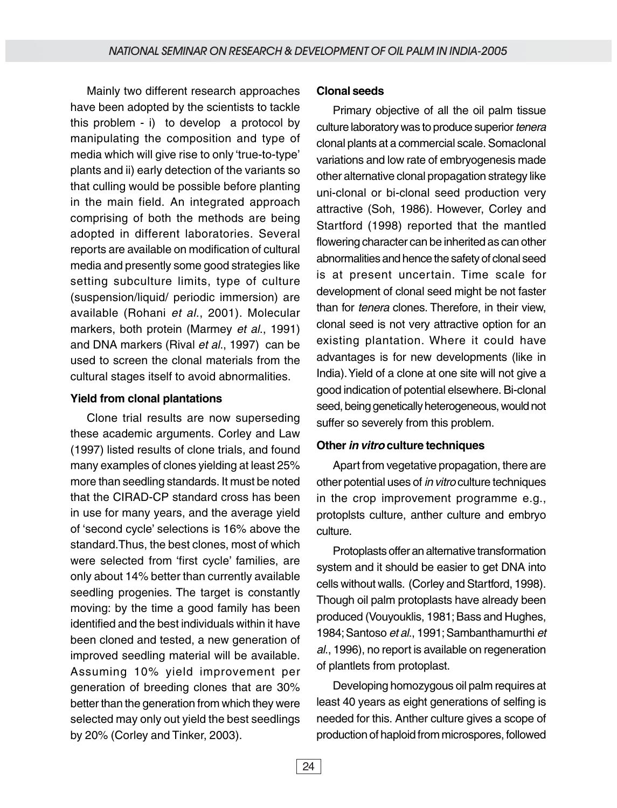Mainly two different research approaches have been adopted by the scientists to tackle this problem - i) to develop a protocol by manipulating the composition and type of media which will give rise to only 'true-to-type' plants and ii) early detection of the variants so that culling would be possible before planting in the main field. An integrated approach comprising of both the methods are being adopted in different laboratories. Several reports are available on modification of cultural media and presently some good strategies like setting subculture limits, type of culture (suspension/liquid/ periodic immersion) are available (Rohani et al., 2001). Molecular markers, both protein (Marmey et al., 1991) and DNA markers (Rival et al., 1997) can be used to screen the clonal materials from the cultural stages itself to avoid abnormalities.

## **Yield from clonal plantations**

Clone trial results are now superseding these academic arguments. Corley and Law (1997) listed results of clone trials, and found many examples of clones yielding at least 25% more than seedling standards. It must be noted that the CIRAD-CP standard cross has been in use for many years, and the average yield of 'second cycle' selections is 16% above the standard.Thus, the best clones, most of which were selected from 'first cycle' families, are only about 14% better than currently available seedling progenies. The target is constantly moving: by the time a good family has been identified and the best individuals within it have been cloned and tested, a new generation of improved seedling material will be available. Assuming 10% yield improvement per generation of breeding clones that are 30% better than the generation from which they were selected may only out yield the best seedlings by 20% (Corley and Tinker, 2003).

## **Clonal seeds**

Primary objective of all the oil palm tissue culture laboratory was to produce superior tenera clonal plants at a commercial scale. Somaclonal variations and low rate of embryogenesis made other alternative clonal propagation strategy like uni-clonal or bi-clonal seed production very attractive (Soh, 1986). However, Corley and Startford (1998) reported that the mantled flowering character can be inherited as can other abnormalities and hence the safety of clonal seed is at present uncertain. Time scale for development of clonal seed might be not faster than for tenera clones. Therefore, in their view, clonal seed is not very attractive option for an existing plantation. Where it could have advantages is for new developments (like in India). Yield of a clone at one site will not give a good indication of potential elsewhere. Bi-clonal seed, being genetically heterogeneous, would not suffer so severely from this problem.

#### **Other in vitro culture techniques**

Apart from vegetative propagation, there are other potential uses of in vitro culture techniques in the crop improvement programme e.g., protoplsts culture, anther culture and embryo culture.

Protoplasts offer an alternative transformation system and it should be easier to get DNA into cells without walls. (Corley and Startford, 1998). Though oil palm protoplasts have already been produced (Vouyouklis, 1981; Bass and Hughes, 1984; Santoso et al., 1991; Sambanthamurthi et al., 1996), no report is available on regeneration of plantlets from protoplast.

Developing homozygous oil palm requires at least 40 years as eight generations of selfing is needed for this. Anther culture gives a scope of production of haploid from microspores, followed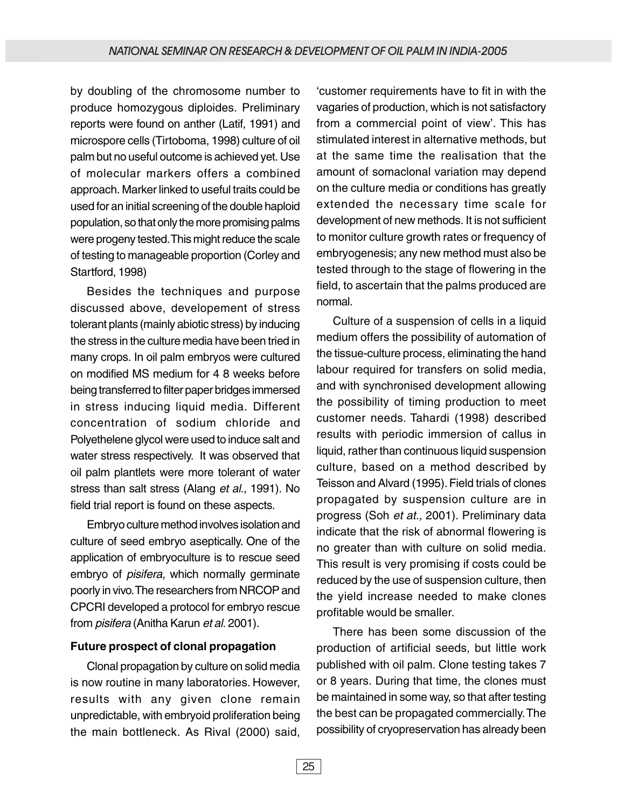by doubling of the chromosome number to produce homozygous diploides. Preliminary reports were found on anther (Latif, 1991) and microspore cells (Tirtoboma, 1998) culture of oil palm but no useful outcome is achieved yet. Use of molecular markers offers a combined approach. Marker linked to useful traits could be used for an initial screening of the double haploid population, so that only the more promising palms were progeny tested. This might reduce the scale of testing to manageable proportion (Corley and Startford, 1998)

Besides the techniques and purpose discussed above, developement of stress tolerant plants (mainly abiotic stress) by inducing the stress in the culture media have been tried in many crops. In oil palm embryos were cultured on modified MS medium for 4 8 weeks before being transferred to filter paper bridges immersed in stress inducing liquid media. Different concentration of sodium chloride and Polyethelene glycol were used to induce salt and water stress respectively. It was observed that oil palm plantlets were more tolerant of water stress than salt stress (Alang et al., 1991). No field trial report is found on these aspects.

Embryo culture method involves isolation and culture of seed embryo aseptically. One of the application of embryoculture is to rescue seed embryo of *pisifera*, which normally germinate poorly in vivo. The researchers from NRCOP and CPCRI developed a protocol for embryo rescue from *pisifera* (Anitha Karun et al. 2001).

#### **Future prospect of clonal propagation**

Clonal propagation by culture on solid media is now routine in many laboratories. However, results with any given clone remain unpredictable, with embryoid proliferation being the main bottleneck. As Rival (2000) said, 'customer requirements have to fit in with the vagaries of production, which is not satisfactory from a commercial point of view'. This has stimulated interest in alternative methods, but at the same time the realisation that the amount of somaclonal variation may depend on the culture media or conditions has greatly extended the necessary time scale for development of new methods. It is not sufficient to monitor culture growth rates or frequency of embryogenesis; any new method must also be tested through to the stage of flowering in the field, to ascertain that the palms produced are normal.

Culture of a suspension of cells in a liquid medium offers the possibility of automation of the tissue-culture process, eliminating the hand labour required for transfers on solid media, and with synchronised development allowing the possibility of timing production to meet customer needs. Tahardi (1998) described results with periodic immersion of callus in liquid, rather than continuous liquid suspension culture, based on a method described by Teisson and Alvard (1995). Field trials of clones propagated by suspension culture are in progress (Soh et at., 2001). Preliminary data indicate that the risk of abnormal flowering is no greater than with culture on solid media. This result is very promising if costs could be reduced by the use of suspension culture, then the yield increase needed to make clones profitable would be smaller.

There has been some discussion of the production of artificial seeds, but little work published with oil palm. Clone testing takes 7 or 8 years. During that time, the clones must be maintained in some way, so that after testing the best can be propagated commercially. The possibility of cryopreservation has already been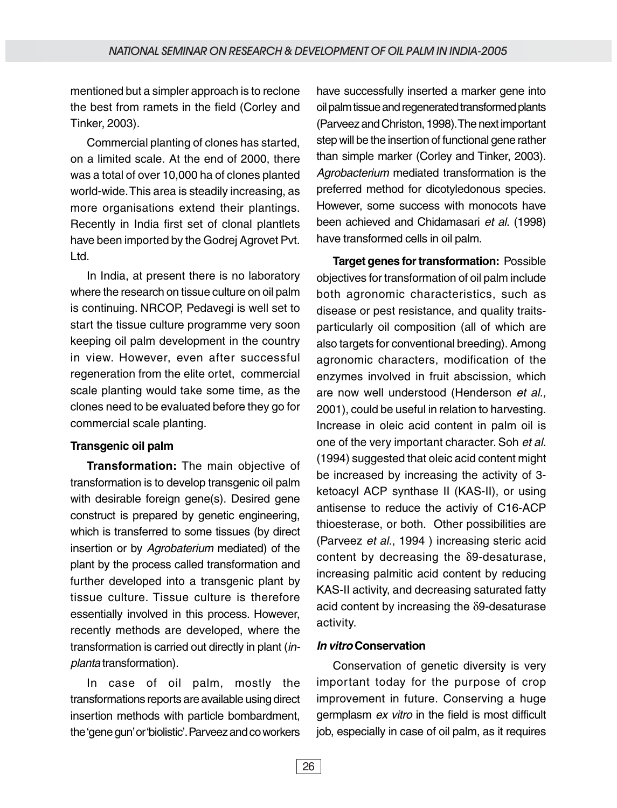mentioned but a simpler approach is to reclone the best from ramets in the field (Corley and Tinker, 2003).

Commercial planting of clones has started, on a limited scale. At the end of 2000, there was a total of over 10,000 ha of clones planted world-wide. This area is steadily increasing, as more organisations extend their plantings. Recently in India first set of clonal plantlets have been imported by the Godrej Agrovet Pvt. Ltd.

In India, at present there is no laboratory where the research on tissue culture on oil palm is continuing. NRCOP, Pedavegi is well set to start the tissue culture programme very soon keeping oil palm development in the country in view. However, even after successful regeneration from the elite ortet, commercial scale planting would take some time, as the clones need to be evaluated before they go for commercial scale planting.

#### **Transgenic oil palm**

**Transformation:** The main objective of transformation is to develop transgenic oil palm with desirable foreign gene(s). Desired gene construct is prepared by genetic engineering, which is transferred to some tissues (by direct insertion or by Agrobaterium mediated) of the plant by the process called transformation and further developed into a transgenic plant by tissue culture. Tissue culture is therefore essentially involved in this process. However, recently methods are developed, where the transformation is carried out directly in plant (inplanta transformation).

In case of oil palm, mostly the transformations reports are available using direct insertion methods with particle bombardment, the 'gene gun' or 'biolistic'. Parveez and co workers have successfully inserted a marker gene into oil palm tissue and regenerated transformed plants (Parveez and Christon, 1998). The next important step will be the insertion of functional gene rather than simple marker (Corley and Tinker, 2003). Agrobacterium mediated transformation is the preferred method for dicotyledonous species. However, some success with monocots have been achieved and Chidamasari et al. (1998) have transformed cells in oil palm.

**Target genes for transformation:** Possible objectives for transformation of oil palm include both agronomic characteristics, such as disease or pest resistance, and quality traitsparticularly oil composition (all of which are also targets for conventional breeding). Among agronomic characters, modification of the enzymes involved in fruit abscission, which are now well understood (Henderson et al., 2001), could be useful in relation to harvesting. Increase in oleic acid content in palm oil is one of the very important character. Soh et al. (1994) suggested that oleic acid content might be increased by increasing the activity of 3 ketoacyl ACP synthase II (KAS-II), or using antisense to reduce the activiy of C16-ACP thioesterase, or both. Other possibilities are (Parveez et al., 1994 ) increasing steric acid content by decreasing the δ9-desaturase, increasing palmitic acid content by reducing KAS-II activity, and decreasing saturated fatty acid content by increasing the δ9-desaturase activity.

# **In vitro Conservation**

Conservation of genetic diversity is very important today for the purpose of crop improvement in future. Conserving a huge germplasm ex vitro in the field is most difficult job, especially in case of oil palm, as it requires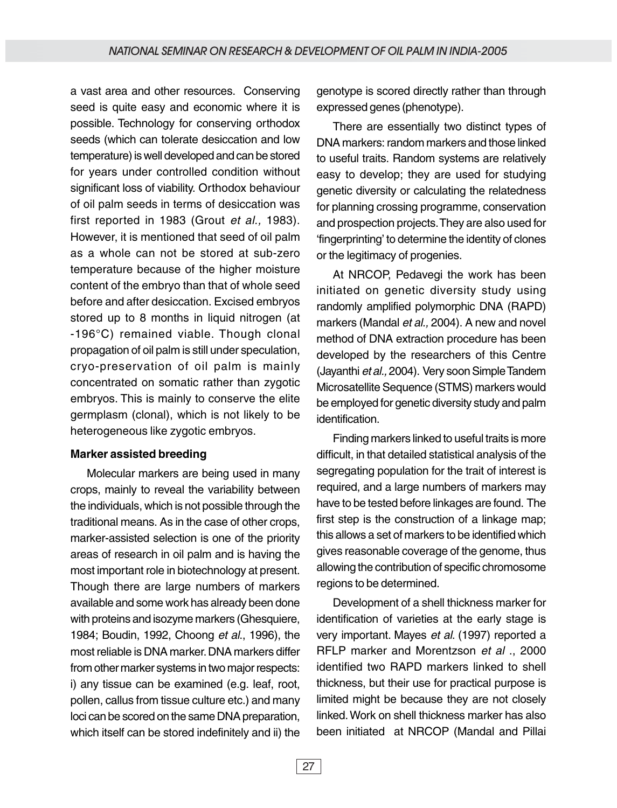a vast area and other resources. Conserving seed is quite easy and economic where it is possible. Technology for conserving orthodox seeds (which can tolerate desiccation and low temperature) is well developed and can be stored for years under controlled condition without significant loss of viability. Orthodox behaviour of oil palm seeds in terms of desiccation was first reported in 1983 (Grout et al., 1983). However, it is mentioned that seed of oil palm as a whole can not be stored at sub-zero temperature because of the higher moisture content of the embryo than that of whole seed before and after desiccation. Excised embryos stored up to 8 months in liquid nitrogen (at -196°C) remained viable. Though clonal propagation of oil palm is still under speculation, cryo-preservation of oil palm is mainly concentrated on somatic rather than zygotic embryos. This is mainly to conserve the elite germplasm (clonal), which is not likely to be heterogeneous like zygotic embryos.

#### **Marker assisted breeding**

Molecular markers are being used in many crops, mainly to reveal the variability between the individuals, which is not possible through the traditional means. As in the case of other crops, marker-assisted selection is one of the priority areas of research in oil palm and is having the most important role in biotechnology at present. Though there are large numbers of markers available and some work has already been done with proteins and isozyme markers (Ghesquiere, 1984; Boudin, 1992, Choong et al., 1996), the most reliable is DNA marker. DNA markers differ from other marker systems in two major respects: i) any tissue can be examined (e.g. leaf, root, pollen, callus from tissue culture etc.) and many loci can be scored on the same DNA preparation, which itself can be stored indefinitely and ii) the genotype is scored directly rather than through expressed genes (phenotype).

There are essentially two distinct types of DNA markers: random markers and those linked to useful traits. Random systems are relatively easy to develop; they are used for studying genetic diversity or calculating the relatedness for planning crossing programme, conservation and prospection projects. They are also used for 'fingerprinting' to determine the identity of clones or the legitimacy of progenies.

At NRCOP, Pedavegi the work has been initiated on genetic diversity study using randomly amplified polymorphic DNA (RAPD) markers (Mandal et al., 2004). A new and novel method of DNA extraction procedure has been developed by the researchers of this Centre (Jayanthi et al., 2004). Very soon Simple Tandem Microsatellite Sequence (STMS) markers would be employed for genetic diversity study and palm identification.

Finding markers linked to useful traits is more difficult, in that detailed statistical analysis of the segregating population for the trait of interest is required, and a large numbers of markers may have to be tested before linkages are found. The first step is the construction of a linkage map; this allows a set of markers to be identified which gives reasonable coverage of the genome, thus allowing the contribution of specific chromosome regions to be determined.

Development of a shell thickness marker for identification of varieties at the early stage is very important. Mayes et al. (1997) reported a RFLP marker and Morentzson et al., 2000 identified two RAPD markers linked to shell thickness, but their use for practical purpose is limited might be because they are not closely linked. Work on shell thickness marker has also been initiated at NRCOP (Mandal and Pillai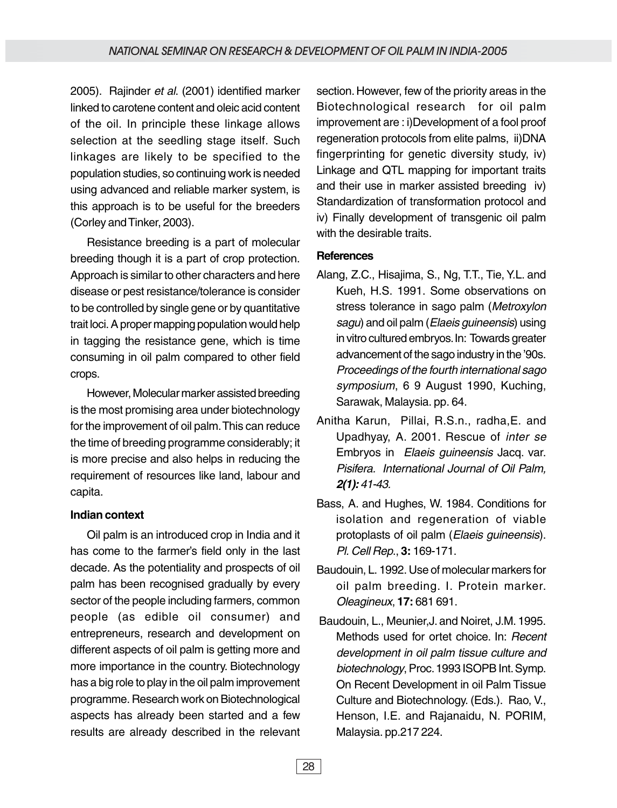2005). Rajinder et al. (2001) identified marker linked to carotene content and oleic acid content of the oil. In principle these linkage allows selection at the seedling stage itself. Such linkages are likely to be specified to the population studies, so continuing work is needed using advanced and reliable marker system, is this approach is to be useful for the breeders (Corley and Tinker, 2003).

Resistance breeding is a part of molecular breeding though it is a part of crop protection. Approach is similar to other characters and here disease or pest resistance/tolerance is consider to be controlled by single gene or by quantitative trait loci. A proper mapping population would help in tagging the resistance gene, which is time consuming in oil palm compared to other field crops.

However, Molecular marker assisted breeding is the most promising area under biotechnology for the improvement of oil palm. This can reduce the time of breeding programme considerably; it is more precise and also helps in reducing the requirement of resources like land, labour and capita.

# **Indian context**

Oil palm is an introduced crop in India and it has come to the farmer's field only in the last decade. As the potentiality and prospects of oil palm has been recognised gradually by every sector of the people including farmers, common people (as edible oil consumer) and entrepreneurs, research and development on different aspects of oil palm is getting more and more importance in the country. Biotechnology has a big role to play in the oil palm improvement programme. Research work on Biotechnological aspects has already been started and a few results are already described in the relevant

section. However, few of the priority areas in the Biotechnological research for oil palm improvement are : i)Development of a fool proof regeneration protocols from elite palms, ii)DNA fingerprinting for genetic diversity study, iv) Linkage and QTL mapping for important traits and their use in marker assisted breeding iv) Standardization of transformation protocol and iv) Finally development of transgenic oil palm with the desirable traits.

# **References**

- Alang, Z.C., Hisajima, S., Ng, T.T., Tie, Y.L. and Kueh, H.S. 1991. Some observations on stress tolerance in sago palm (Metroxylon sagu) and oil palm (Elaeis guineensis) using in vitro cultured embryos. In: Towards greater advancement of the sago industry in the '90s. Proceedings of the fourth international sago symposium, 6 9 August 1990, Kuching, Sarawak, Malaysia. pp. 64.
- Anitha Karun, Pillai, R.S.n., radha,E. and Upadhyay, A. 2001. Rescue of inter se Embryos in Elaeis guineensis Jacq. var. Pisifera. International Journal of Oil Palm, **2(1):** 41-43.
- Bass, A. and Hughes, W. 1984. Conditions for isolation and regeneration of viable protoplasts of oil palm (Elaeis guineensis). Pl. Cell Rep., **3:** 169-171.
- Baudouin, L. 1992. Use of molecular markers for oil palm breeding. I. Protein marker. Oleagineux, **17:** 681 691.
- Baudouin, L., Meunier,J. and Noiret, J.M. 1995. Methods used for ortet choice. In: Recent development in oil palm tissue culture and biotechnology, Proc. 1993 ISOPB Int. Symp. On Recent Development in oil Palm Tissue Culture and Biotechnology. (Eds.). Rao, V., Henson, I.E. and Rajanaidu, N. PORIM, Malaysia. pp.217 224.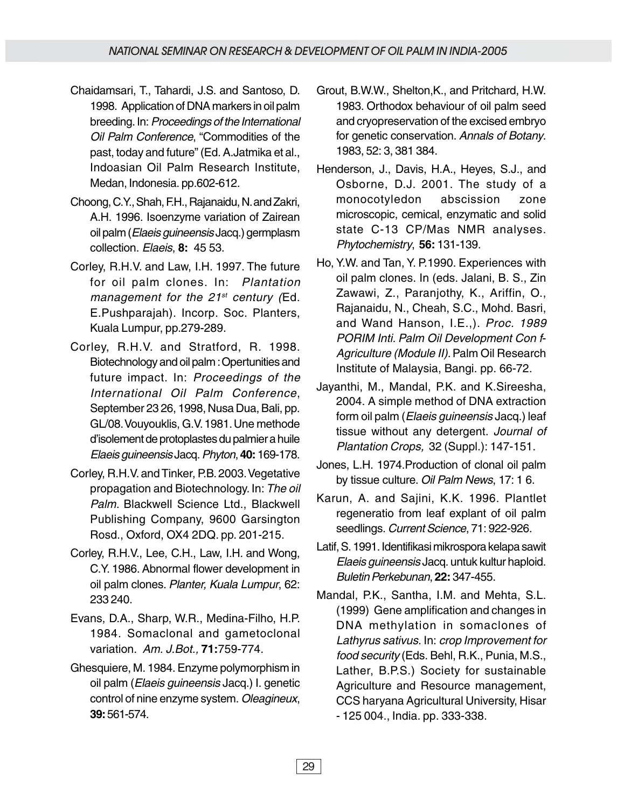- Chaidamsari, T., Tahardi, J.S. and Santoso, D. 1998. Application of DNA markers in oil palm breeding. In: Proceedings of the International Oil Palm Conference, "Commodities of the past, today and future" (Ed. A.Jatmika et al., Indoasian Oil Palm Research Institute, Medan, Indonesia. pp.602-612.
- Choong, C.Y., Shah, F.H., Rajanaidu, N. and Zakri, A.H. 1996. Isoenzyme variation of Zairean oil palm (Elaeis guineensis Jacq.) germplasm collection. Elaeis, **8:** 45 53.
- Corley, R.H.V. and Law, I.H. 1997. The future for oil palm clones. In: Plantation management for the  $21^{st}$  century (Ed. E.Pushparajah). Incorp. Soc. Planters, Kuala Lumpur, pp.279-289.
- Corley, R.H.V. and Stratford, R. 1998. Biotechnology and oil palm : Opertunities and future impact. In: Proceedings of the International Oil Palm Conference, September 23 26, 1998, Nusa Dua, Bali, pp. GL/08. Vouyouklis, G.V. 1981. Une methode d'isolement de protoplastes du palmier a huile Elaeis guineensis Jacq. Phyton, **40:** 169-178.
- Corley, R.H.V. and Tinker, P.B. 2003. Vegetative propagation and Biotechnology. In: The oil Palm. Blackwell Science Ltd., Blackwell Publishing Company, 9600 Garsington Rosd., Oxford, OX4 2DQ. pp. 201-215.
- Corley, R.H.V., Lee, C.H., Law, I.H. and Wong, C.Y. 1986. Abnormal flower development in oil palm clones. Planter, Kuala Lumpur, 62: 233 240.
- Evans, D.A., Sharp, W.R., Medina-Filho, H.P. 1984. Somaclonal and gametoclonal variation. Am. J.Bot., **71:**759-774.
- Ghesquiere, M. 1984. Enzyme polymorphism in oil palm (Elaeis guineensis Jacq.) I. genetic control of nine enzyme system. Oleagineux, **39:** 561-574.
- Grout, B.W.W., Shelton,K., and Pritchard, H.W. 1983. Orthodox behaviour of oil palm seed and cryopreservation of the excised embryo for genetic conservation. Annals of Botany. 1983, 52: 3, 381 384.
- Henderson, J., Davis, H.A., Heyes, S.J., and Osborne, D.J. 2001. The study of a monocotyledon abscission zone microscopic, cemical, enzymatic and solid state C-13 CP/Mas NMR analyses. Phytochemistry, **56:** 131-139.
- Ho, Y.W. and Tan, Y. P.1990. Experiences with oil palm clones. In (eds. Jalani, B. S., Zin Zawawi, Z., Paranjothy, K., Ariffin, O., Rajanaidu, N., Cheah, S.C., Mohd. Basri, and Wand Hanson, I.E.,). Proc. 1989 PORIM Inti. Palm Oil Development Con f-Agriculture (Module II). Palm Oil Research Institute of Malaysia, Bangi. pp. 66-72.
- Jayanthi, M., Mandal, P.K. and K.Sireesha, 2004. A simple method of DNA extraction form oil palm (Elaeis guineensis Jacq.) leaf tissue without any detergent. Journal of Plantation Crops, 32 (Suppl.): 147-151.
- Jones, L.H. 1974.Production of clonal oil palm by tissue culture. Oil Palm News, 17: 1 6.
- Karun, A. and Sajini, K.K. 1996. Plantlet regeneratio from leaf explant of oil palm seedlings. Current Science, 71: 922-926.
- Latif, S. 1991. Identifikasi mikrospora kelapa sawit Elaeis guineensis Jacq. untuk kultur haploid. Buletin Perkebunan, **22:** 347-455.
- Mandal, P.K., Santha, I.M. and Mehta, S.L. (1999) Gene amplification and changes in DNA methylation in somaclones of Lathyrus sativus. In: crop Improvement for food security (Eds. Behl, R.K., Punia, M.S., Lather, B.P.S.) Society for sustainable Agriculture and Resource management, CCS haryana Agricultural University, Hisar - 125 004., India. pp. 333-338.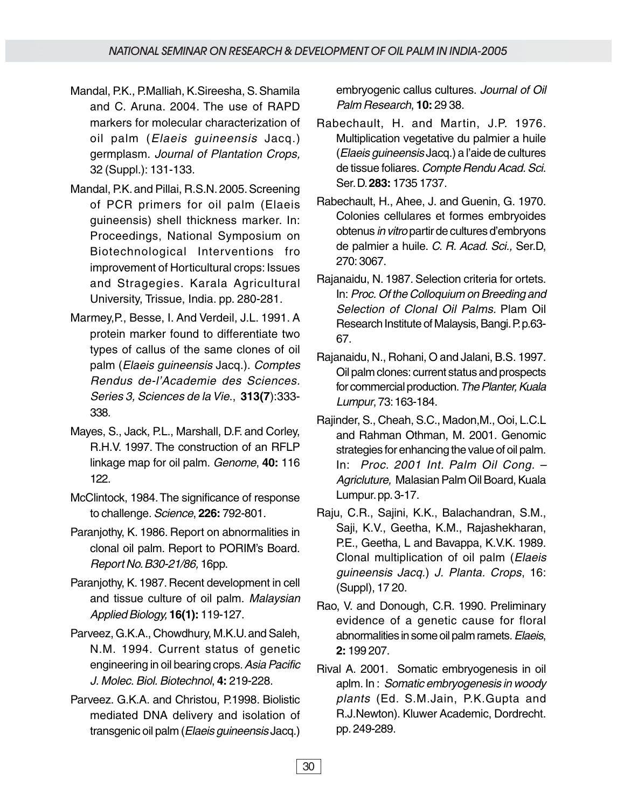- Mandal, P.K., P.Malliah, K.Sireesha, S. Shamila and C. Aruna. 2004. The use of RAPD markers for molecular characterization of oil palm (Elaeis guineensis Jacq.) germplasm. Journal of Plantation Crops, 32 (Suppl.): 131-133.
- Mandal, P.K. and Pillai, R.S.N. 2005. Screening of PCR primers for oil palm (Elaeis guineensis) shell thickness marker. In: Proceedings, National Symposium on Biotechnological Interventions fro improvement of Horticultural crops: Issues and Stragegies. Karala Agricultural University, Trissue, India. pp. 280-281.
- Marmey,P., Besse, I. And Verdeil, J.L. 1991. A protein marker found to differentiate two types of callus of the same clones of oil palm (Elaeis guineensis Jacq.). Comptes Rendus de-l'Academie des Sciences. Series 3, Sciences de la Vie., **313(7**):333- 338.
- Mayes, S., Jack, P.L., Marshall, D.F. and Corley, R.H.V. 1997. The construction of an RFLP linkage map for oil palm. Genome, **40:** 116 122.
- McClintock, 1984. The significance of response to challenge. Science, **226:** 792-801.
- Paranjothy, K. 1986. Report on abnormalities in clonal oil palm. Report to PORIM's Board. Report No. B30-21/86, 16pp.
- Paranjothy, K. 1987. Recent development in cell and tissue culture of oil palm. Malaysian Applied Biology, **16(1):** 119-127.
- Parveez, G.K.A., Chowdhury, M.K.U. and Saleh, N.M. 1994. Current status of genetic engineering in oil bearing crops. Asia Pacific J. Molec. Biol. Biotechnol, **4:** 219-228.
- Parveez. G.K.A. and Christou, P.1998. Biolistic mediated DNA delivery and isolation of transgenic oil palm (Elaeis guineensis Jacq.)

embryogenic callus cultures. Journal of Oil Palm Research, **10:** 29 38.

- Rabechault, H. and Martin, J.P. 1976. Multiplication vegetative du palmier a huile (Elaeis guineensis Jacq.) a l'aide de cultures de tissue foliares. Compte Rendu Acad. Sci. Ser. D. **283:** 1735 1737.
- Rabechault, H., Ahee, J. and Guenin, G. 1970. Colonies cellulares et formes embryoides obtenus in vitro partir de cultures d'embryons de palmier a huile. C. R. Acad. Sci., Ser.D, 270: 3067.
- Rajanaidu, N. 1987. Selection criteria for ortets. In: Proc. Of the Colloquium on Breeding and Selection of Clonal Oil Palms. Plam Oil Research Institute of Malaysis, Bangi. P. p.63- 67.
- Rajanaidu, N., Rohani, O and Jalani, B.S. 1997. Oil palm clones: current status and prospects for commercial production. The Planter, Kuala Lumpur, 73: 163-184.
- Rajinder, S., Cheah, S.C., Madon,M., Ooi, L.C.L and Rahman Othman, M. 2001. Genomic strategies for enhancing the value of oil palm. In: Proc. 2001 Int. Palm Oil Cong. – Agricluture, Malasian Palm Oil Board, Kuala Lumpur. pp. 3-17.
- Raju, C.R., Sajini, K.K., Balachandran, S.M., Saji, K.V., Geetha, K.M., Rajashekharan, P.E., Geetha, L and Bavappa, K.V.K. 1989. Clonal multiplication of oil palm (Elaeis guineensis Jacq.) J. Planta. Crops, 16: (Suppl), 17 20.
- Rao, V. and Donough, C.R. 1990. Preliminary evidence of a genetic cause for floral abnormalities in some oil palm ramets. Elaeis, **2:** 199 207.
- Rival A. 2001. Somatic embryogenesis in oil aplm. In : Somatic embryogenesis in woody plants (Ed. S.M.Jain, P.K.Gupta and R.J.Newton). Kluwer Academic, Dordrecht. pp. 249-289.